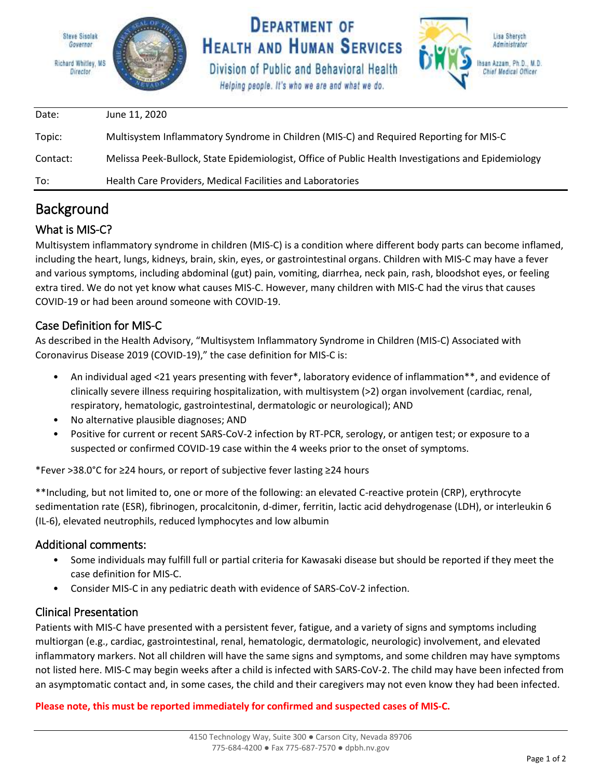

### Background

### What is MIS-C?

Multisystem inflammatory syndrome in children (MIS-C) is a condition where different body parts can become inflamed, including the heart, lungs, kidneys, brain, skin, eyes, or gastrointestinal organs. Children with MIS-C may have a fever and various symptoms, including abdominal (gut) pain, vomiting, diarrhea, neck pain, rash, bloodshot eyes, or feeling extra tired. We do not yet know what causes MIS-C. However, many children with MIS-C had the virus that causes COVID-19 or had been around someone with COVID-19.

#### Case Definition for MIS-C

As described in the Health Advisory, "Multisystem Inflammatory Syndrome in Children (MIS-C) Associated with Coronavirus Disease 2019 (COVID-19)," the case definition for MIS-C is:

- An individual aged <21 years presenting with fever\*, laboratory evidence of inflammation\*\*, and evidence of clinically severe illness requiring hospitalization, with multisystem (>2) organ involvement (cardiac, renal, respiratory, hematologic, gastrointestinal, dermatologic or neurological); AND
- No alternative plausible diagnoses; AND
- Positive for current or recent SARS-CoV-2 infection by RT-PCR, serology, or antigen test; or exposure to a suspected or confirmed COVID-19 case within the 4 weeks prior to the onset of symptoms.

\*Fever >38.0°C for ≥24 hours, or report of subjective fever lasting ≥24 hours

\*\*Including, but not limited to, one or more of the following: an elevated C-reactive protein (CRP), erythrocyte sedimentation rate (ESR), fibrinogen, procalcitonin, d-dimer, ferritin, lactic acid dehydrogenase (LDH), or interleukin 6 (IL-6), elevated neutrophils, reduced lymphocytes and low albumin

#### Additional comments:

- Some individuals may fulfill full or partial criteria for Kawasaki disease but should be reported if they meet the case definition for MIS-C.
- Consider MIS-C in any pediatric death with evidence of SARS-CoV-2 infection.

#### Clinical Presentation

Patients with MIS-C have presented with a persistent fever, fatigue, and a variety of signs and symptoms including multiorgan (e.g., cardiac, gastrointestinal, renal, hematologic, dermatologic, neurologic) involvement, and elevated inflammatory markers. Not all children will have the same signs and symptoms, and some children may have symptoms not listed here. MIS-C may begin weeks after a child is infected with SARS-CoV-2. The child may have been infected from an asymptomatic contact and, in some cases, the child and their caregivers may not even know they had been infected.

**Please note, this must be reported immediately for confirmed and suspected cases of MIS-C.**